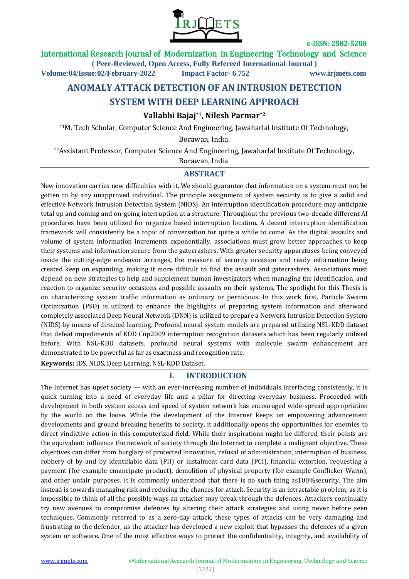

International Research Journal of Modernization in Engineering Technology and Science

**( Peer-Reviewed, Open Access, Fully Refereed International Journal )**

**Volume:04/Issue:02/February-2022 Impact Factor- 6.752 www.irjmets.com**

# **ANOMALY ATTACK DETECTION OF AN INTRUSION DETECTION**

## **SYSTEM WITH DEEP LEARNING APPROACH**

### **Vallabhi Bajaj\*1, Nilesh Parmar\*2**

\*1M. Tech Scholar, Computer Science And Engineering, Jawaharlal Institute Of Technology,

Borawan, India.

\*2Assistant Professor, Computer Science And Engineering, Jawaharlal Institute Of Technology,

Borawan, India.

### **ABSTRACT**

New innovation carries new difficulties with it. We should guarantee that information on a system must not be gotten to by any unapproved individual. The principle assignment of system security is to give a solid and effective Network Intrusion Detection System (NIDS). An interruption identification procedure may anticipate total up and coming and on-going interruption at a structure. Throughout the previous two-decade different AI procedures have been utilized for organize based interruption location. A decent interruption identification framework will consistently be a topic of conversation for quite a while to come. As the digital assaults and volume of system information increments exponentially, associations must grow better approaches to keep their systems and information secure from the gatecrashers. With greater security apparatuses being conveyed inside the cutting-edge endeavor arranges, the measure of security occasion and ready information being created keep on expanding, making it more difficult to find the assault and gatecrashers. Associations must depend on new strategies to help and supplement human investigators when managing the identification, and reaction to organize security occasions and possible assaults on their systems. The spotlight for this Thesis is on characterizing system traffic information as ordinary or pernicious. In this work first, Particle Swarm Optimization (PSO) is utilized to enhance the highlights of preparing system information and afterward completely associated Deep Neural Network (DNN) is utilized to prepare a Network Intrusion Detection System (NIDS) by means of directed learning. Profound neural system models are prepared utilizing NSL-KDD dataset that defeat impediments of KDD Cup2009 interruption recognition datasets which has been regularly utilized before. With NSL-KDD datasets, profound neural systems with molecule swarm enhancement are demonstrated to be powerful as far as exactness and recognition rate.

**Keywords:** IDS, NIDS, Deep Learning, NSL-KDD Dataset.

### **I. INTRODUCTION**

The Internet has upset society — with an ever-increasing number of individuals interfacing consistently, it is quick turning into a need of everyday life and a pillar for directing everyday business. Proceeded with development in both system access and speed of system network has encouraged wide-spread appropriation by the world on the loose. While the development of the Internet keeps on empowering advancement developments and ground breaking benefits to society, it additionally opens the opportunities for enemies to direct vindictive action in this computerized field. While their inspirations might be differed, their points are the equivalent: influence the network of society through the Internet to complete a malignant objective. These objectives can differ from burglary of protected innovation, refusal of administration, interruption of business, robbery of by and by identifiable data (PII) or instalment card data (PCI), financial extortion, requesting a payment (for example emancipate product), demolition of physical property (for example Conflicker Warm), and other unfair purposes. It is commonly understood that there is no such thing as100%security. The aim instead is towards managing risk and reducing the chances for attack. Security is an intractable problem, as it is impossible to think of all the possible ways an attacker may break through the defences. Attackers continually try new avenues to compromise defences by altering their attack strategies and using never before seen techniques. Commonly referred to as a zero-day attack, these types of attacks can be very damaging and frustrating to the defender, as the attacker has developed a new exploit that bypasses the defences of a given system or software. One of the most effective ways to protect the confidentiality, integrity, and availability of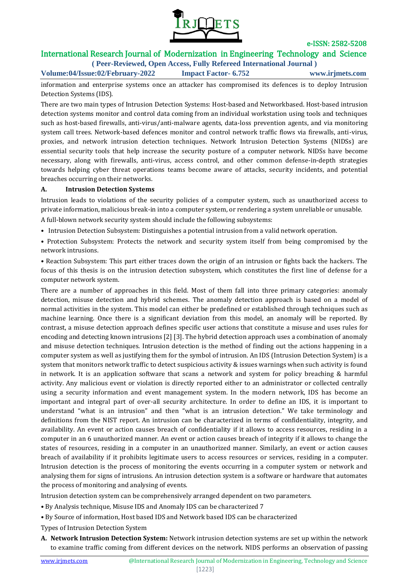

# International Research Journal of Modernization in Engineering Technology and Science

**( Peer-Reviewed, Open Access, Fully Refereed International Journal ) Volume:04/Issue:02/February-2022 Impact Factor- 6.752 www.irjmets.com**

information and enterprise systems once an attacker has compromised its defences is to deploy Intrusion Detection Systems (IDS).

There are two main types of Intrusion Detection Systems: Host-based and Networkbased. Host-based intrusion detection systems monitor and control data coming from an individual workstation using tools and techniques such as host-based firewalls, anti-virus/anti-malware agents, data-loss prevention agents, and via monitoring system call trees. Network-based defences monitor and control network traffic flows via firewalls, anti-virus, proxies, and network intrusion detection techniques. Network Intrusion Detection Systems (NIDSs) are essential security tools that help increase the security posture of a computer network. NIDSs have become necessary, along with firewalls, anti-virus, access control, and other common defense-in-depth strategies towards helping cyber threat operations teams become aware of attacks, security incidents, and potential breaches occurring on their networks.

#### **A. Intrusion Detection Systems**

Intrusion leads to violations of the security policies of a computer system, such as unauthorized access to private information, malicious break-in into a computer system, or rendering a system unreliable or unusable.

A full-blown network security system should include the following subsystems:

- Intrusion Detection Subsystem: Distinguishes a potential intrusion from a valid network operation.
- Protection Subsystem: Protects the network and security system itself from being compromised by the network intrusions.

• Reaction Subsystem: This part either traces down the origin of an intrusion or fights back the hackers. The focus of this thesis is on the intrusion detection subsystem, which constitutes the first line of defense for a computer network system.

There are a number of approaches in this field. Most of them fall into three primary categories: anomaly detection, misuse detection and hybrid schemes. The anomaly detection approach is based on a model of normal activities in the system. This model can either be predefined or established through techniques such as machine learning. Once there is a significant deviation from this model, an anomaly will be reported. By contrast, a misuse detection approach defines specific user actions that constitute a misuse and uses rules for encoding and detecting known intrusions [2] [3]. The hybrid detection approach uses a combination of anomaly and misuse detection techniques. Intrusion detection is the method of finding out the actions happening in a computer system as well as justifying them for the symbol of intrusion. An IDS (Intrusion Detection System) is a system that monitors network traffic to detect suspicious activity & issues warnings when such activity is found in network. It is an application software that scans a network and system for policy breaching & harmful activity. Any malicious event or violation is directly reported either to an administrator or collected centrally using a security information and event management system. In the modern network, IDS has become an important and integral part of over-all security architecture. In order to define an IDS, it is important to understand "what is an intrusion" and then "what is an intrusion detection." We take terminology and definitions from the NIST report. An intrusion can be characterized in terms of confidentiality, integrity, and availability. An event or action causes breach of confidentiality if it allows to access resources, residing in a computer in an 6 unauthorized manner. An event or action causes breach of integrity if it allows to change the states of resources, residing in a computer in an unauthorized manner. Similarly, an event or action causes breach of availability if it prohibits legitimate users to access resources or services, residing in a computer. Intrusion detection is the process of monitoring the events occurring in a computer system or network and analysing them for signs of intrusions. An intrusion detection system is a software or hardware that automates the process of monitoring and analysing of events.

Intrusion detection system can be comprehensively arranged dependent on two parameters.

• By Analysis technique, Misuse IDS and Anomaly IDS can be characterized 7

• By Source of information, Host based IDS and Network based IDS can be characterized

Types of Intrusion Detection System

**A. Network Intrusion Detection System:** Network intrusion detection systems are set up within the network to examine traffic coming from different devices on the network. NIDS performs an observation of passing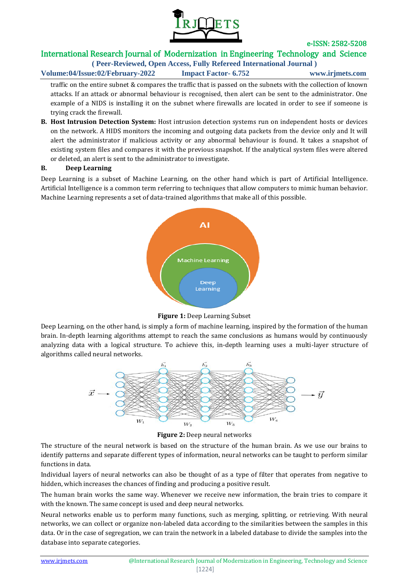

# International Research Journal of Modernization in Engineering Technology and Science

**( Peer-Reviewed, Open Access, Fully Refereed International Journal ) Volume:04/Issue:02/February-2022 Impact Factor- 6.752 www.irjmets.com**

traffic on the entire subnet & compares the traffic that is passed on the subnets with the collection of known attacks. If an attack or abnormal behaviour is recognised, then alert can be sent to the administrator. One example of a NIDS is installing it on the subnet where firewalls are located in order to see if someone is trying crack the firewall.

**B. Host Intrusion Detection System:** Host intrusion detection systems run on independent hosts or devices on the network. A HIDS monitors the incoming and outgoing data packets from the device only and It will alert the administrator if malicious activity or any abnormal behaviour is found. It takes a snapshot of existing system files and compares it with the previous snapshot. If the analytical system files were altered or deleted, an alert is sent to the administrator to investigate.

#### **B. Deep Learning**

Deep Learning is a subset of Machine Learning, on the other hand which is part of Artificial Intelligence. Artificial Intelligence is a common term referring to techniques that allow computers to mimic human behavior. Machine Learning represents a set of data-trained algorithms that make all of this possible.



**Figure 1:** Deep Learning Subset

Deep Learning, on the other hand, is simply a form of machine learning, inspired by the formation of the human brain. In-depth learning algorithms attempt to reach the same conclusions as humans would by continuously analyzing data with a logical structure. To achieve this, in-depth learning uses a multi-layer structure of algorithms called neural networks.



**Figure 2:** Deep neural networks

The structure of the neural network is based on the structure of the human brain. As we use our brains to identify patterns and separate different types of information, neural networks can be taught to perform similar functions in data.

Individual layers of neural networks can also be thought of as a type of filter that operates from negative to hidden, which increases the chances of finding and producing a positive result.

The human brain works the same way. Whenever we receive new information, the brain tries to compare it with the known. The same concept is used and deep neural networks.

Neural networks enable us to perform many functions, such as merging, splitting, or retrieving. With neural networks, we can collect or organize non-labeled data according to the similarities between the samples in this data. Or in the case of segregation, we can train the network in a labeled database to divide the samples into the database into separate categories.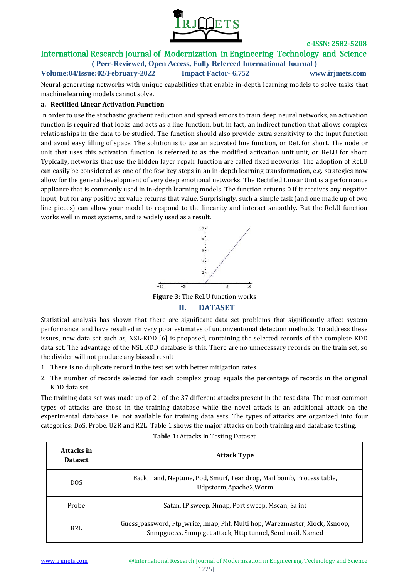

## International Research Journal of Modernization in Engineering Technology and Science

**( Peer-Reviewed, Open Access, Fully Refereed International Journal )**

**Volume:04/Issue:02/February-2022 Impact Factor- 6.752 www.irjmets.com**

Neural-generating networks with unique capabilities that enable in-depth learning models to solve tasks that machine learning models cannot solve.

#### **a. Rectified Linear Activation Function**

In order to use the stochastic gradient reduction and spread errors to train deep neural networks, an activation function is required that looks and acts as a line function, but, in fact, an indirect function that allows complex relationships in the data to be studied. The function should also provide extra sensitivity to the input function and avoid easy filling of space. The solution is to use an activated line function, or ReL for short. The node or unit that uses this activation function is referred to as the modified activation unit unit, or ReLU for short. Typically, networks that use the hidden layer repair function are called fixed networks. The adoption of ReLU can easily be considered as one of the few key steps in an in-depth learning transformation, e.g. strategies now allow for the general development of very deep emotional networks. The Rectified Linear Unit is a performance appliance that is commonly used in in-depth learning models. The function returns 0 if it receives any negative input, but for any positive xx value returns that value. Surprisingly, such a simple task (and one made up of two line pieces) can allow your model to respond to the linearity and interact smoothly. But the ReLU function works well in most systems, and is widely used as a result.



**Figure 3:** The ReLU function works

### **II. DATASET**

Statistical analysis has shown that there are significant data set problems that significantly affect system performance, and have resulted in very poor estimates of unconventional detection methods. To address these issues, new data set such as, NSL-KDD [6] is proposed, containing the selected records of the complete KDD data set. The advantage of the NSL KDD database is this. There are no unnecessary records on the train set, so the divider will not produce any biased result

- 1. There is no duplicate record in the test set with better mitigation rates.
- 2. The number of records selected for each complex group equals the percentage of records in the original KDD data set.

The training data set was made up of 21 of the 37 different attacks present in the test data. The most common types of attacks are those in the training database while the novel attack is an additional attack on the experimental database i.e. not available for training data sets. The types of attacks are organized into four categories: DoS, Probe, U2R and R2L. Table 1 shows the major attacks on both training and database testing.

| Attacks in<br><b>Dataset</b> | <b>Attack Type</b>                                                                                                                         |  |  |
|------------------------------|--------------------------------------------------------------------------------------------------------------------------------------------|--|--|
| <b>DOS</b>                   | Back, Land, Neptune, Pod, Smurf, Tear drop, Mail bomb, Process table,<br>Udpstorm, Apache 2, Worm                                          |  |  |
| Probe                        | Satan, IP sweep, Nmap, Port sweep, Mscan, Sa int                                                                                           |  |  |
| R2L                          | Guess_password, Ftp_write, Imap, Phf, Multi hop, Warezmaster, Xlock, Xsnoop,<br>Snmpgue ss, Snmp get attack, Http tunnel, Send mail, Named |  |  |

#### **Table 1:** Attacks in Testing Dataset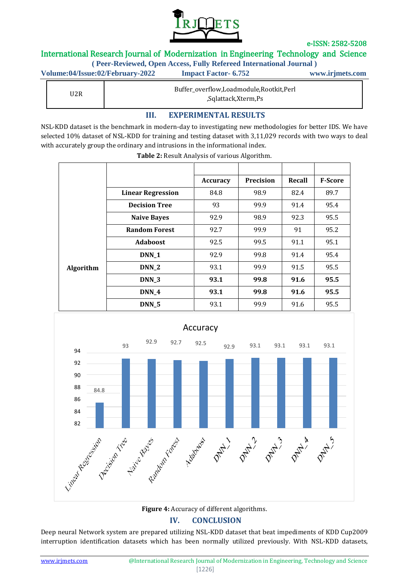

## International Research Journal of Modernization in Engineering Technology and Science

**( Peer-Reviewed, Open Access, Fully Refereed International Journal )**

| Volume:04/Issue:02/February-2022 | <b>Impact Factor- 6.752</b>             | www.irjmets.com |  |
|----------------------------------|-----------------------------------------|-----------------|--|
| U2R                              | Buffer_overflow,Loadmodule,Rootkit,Perl |                 |  |

,Sqlattack,Xterm,Ps

## **III. EXPERIMENTAL RESULTS**

NSL-KDD dataset is the benchmark in modern-day to investigating new methodologies for better IDS. We have selected 10% dataset of NSL-KDD for training and testing dataset with 3,11,029 records with two ways to deal with accurately group the ordinary and intrusions in the informational index.

|           |                          | Accuracy | <b>Precision</b> | Recall | <b>F-Score</b> |
|-----------|--------------------------|----------|------------------|--------|----------------|
|           | <b>Linear Regression</b> | 84.8     | 98.9             | 82.4   | 89.7           |
|           | <b>Decision Tree</b>     | 93       | 99.9             | 91.4   | 95.4           |
|           | <b>Naive Bayes</b>       | 92.9     | 98.9             | 92.3   | 95.5           |
|           | <b>Random Forest</b>     | 92.7     | 99.9             | 91     | 95.2           |
|           | <b>Adaboost</b>          | 92.5     | 99.5             | 91.1   | 95.1           |
|           | DNN_1                    | 92.9     | 99.8             | 91.4   | 95.4           |
| Algorithm | DNN_2                    | 93.1     | 99.9             | 91.5   | 95.5           |
|           | DNN_3                    | 93.1     | 99.8             | 91.6   | 95.5           |
|           | $DNN_4$                  | 93.1     | 99.8             | 91.6   | 95.5           |
|           | DNN_5                    | 93.1     | 99.9             | 91.6   | 95.5           |

**Table 2:** Result Analysis of various Algorithm.



## **Figure 4:** Accuracy of different algorithms. **IV. CONCLUSION**

Deep neural Network system are prepared utilizing NSL-KDD dataset that beat impediments of KDD Cup2009 interruption identification datasets which has been normally utilized previously. With NSL-KDD datasets,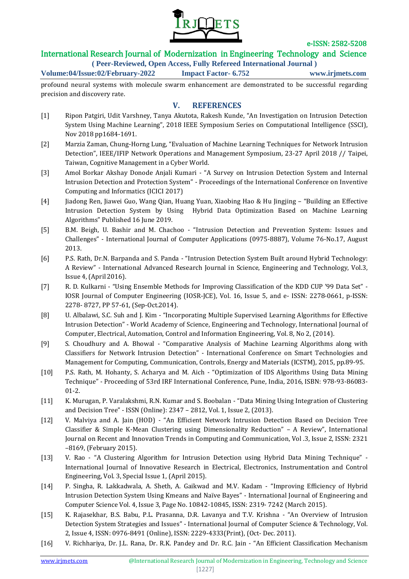

## International Research Journal of Modernization in Engineering Technology and Science

**( Peer-Reviewed, Open Access, Fully Refereed International Journal ) Volume:04/Issue:02/February-2022 Impact Factor- 6.752 www.irjmets.com**

profound neural systems with molecule swarm enhancement are demonstrated to be successful regarding precision and discovery rate.

## **V. REFERENCES**

- [1] Ripon Patgiri, Udit Varshney, Tanya Akutota, Rakesh Kunde, "An Investigation on Intrusion Detection System Using Machine Learning", 2018 IEEE Symposium Series on Computational Intelligence (SSCI), Nov 2018 pp1684-1691.
- [2] Marzia Zaman, Chung-Horng Lung, "Evaluation of Machine Learning Techniques for Network Intrusion Detection", IEEE/IFIP Network Operations and Management Symposium, 23-27 April 2018 // Taipei, Taiwan, Cognitive Management in a Cyber World.
- [3] Amol Borkar Akshay Donode Anjali Kumari "A Survey on Intrusion Detection System and Internal Intrusion Detection and Protection System" - Proceedings of the International Conference on Inventive Computing and Informatics (ICICI 2017)
- [4] Jiadong Ren, Jiawei Guo, Wang Qian, Huang Yuan, Xiaobing Hao & Hu Jingjing "Building an Effective Intrusion Detection System by Using Hybrid Data Optimization Based on Machine Learning Algorithms" Published 16 June 2019.
- [5] B.M. Beigh, U. Bashir and M. Chachoo "Intrusion Detection and Prevention System: Issues and Challenges" - International Journal of Computer Applications (0975-8887), Volume 76-No.17, August 2013.
- [6] P.S. Rath, Dr.N. Barpanda and S. Panda "Intrusion Detection System Built around Hybrid Technology: A Review" - International Advanced Research Journal in Science, Engineering and Technology, Vol.3, Issue 4, (April 2016).
- [7] R. D. Kulkarni "Using Ensemble Methods for Improving Classification of the KDD CUP '99 Data Set" IOSR Journal of Computer Engineering (IOSR-JCE), Vol. 16, Issue 5, and e- ISSN: 2278-0661, p-ISSN: 2278- 8727, PP 57-61, (Sep-Oct.2014).
- [8] U. Albalawi, S.C. Suh and J. Kim "Incorporating Multiple Supervised Learning Algorithms for Effective Intrusion Detection" - World Academy of Science, Engineering and Technology, International Journal of Computer, Electrical, Automation, Control and Information Engineering, Vol. 8, No 2, (2014).
- [9] S. Choudhury and A. Bhowal "Comparative Analysis of Machine Learning Algorithms along with Classifiers for Network Intrusion Detection" - International Conference on Smart Technologies and Management for Computing, Communication, Controls, Energy and Materials (ICSTM), 2015, pp.89-95.
- [10] P.S. Rath, M. Hohanty, S. Acharya and M. Aich "Optimization of IDS Algorithms Using Data Mining Technique" - Proceeding of 53rd IRF International Conference, Pune, India, 2016, ISBN: 978-93-86083- 01-2.
- [11] K. Murugan, P. Varalakshmi, R.N. Kumar and S. Boobalan "Data Mining Using Integration of Clustering and Decision Tree" - ISSN (Online): 2347 – 2812, Vol. 1, Issue 2, (2013).
- [12] V. Malviya and A. Jain (HOD) "An Efficient Network Intrusion Detection Based on Decision Tree Classifier & Simple K-Mean Clustering using Dimensionality Reduction" – A Review", International Journal on Recent and Innovation Trends in Computing and Communication, Vol .3, Issue 2, ISSN: 2321 –8169, (February 2015).
- [13] V. Rao "A Clustering Algorithm for Intrusion Detection using Hybrid Data Mining Technique" International Journal of Innovative Research in Electrical, Electronics, Instrumentation and Control Engineering, Vol. 3, Special Issue 1, (April 2015).
- [14] P. Singha, R. Lakkadwala, A. Sheth, A. Gaikwad and M.V. Kadam "Improving Efficiency of Hybrid Intrusion Detection System Using Kmeans and Naïve Bayes" - International Journal of Engineering and Computer Science Vol. 4, Issue 3, Page No. 10842-10845, ISSN: 2319- 7242 (March 2015).
- [15] K. Rajasekhar, B.S. Babu, P.L. Prasanna, D.R. Lavanya and T.V. Krishna "An Overview of Intrusion Detection System Strategies and Issues" - International Journal of Computer Science & Technology, Vol. 2, Issue 4, ISSN: 0976-8491 (Online), ISSN: 2229-4333(Print), (Oct- Dec. 2011).
- [16] V. Richhariya, Dr. J.L. Rana, Dr. R.K. Pandey and Dr. R.C. Jain "An Efficient Classification Mechanism